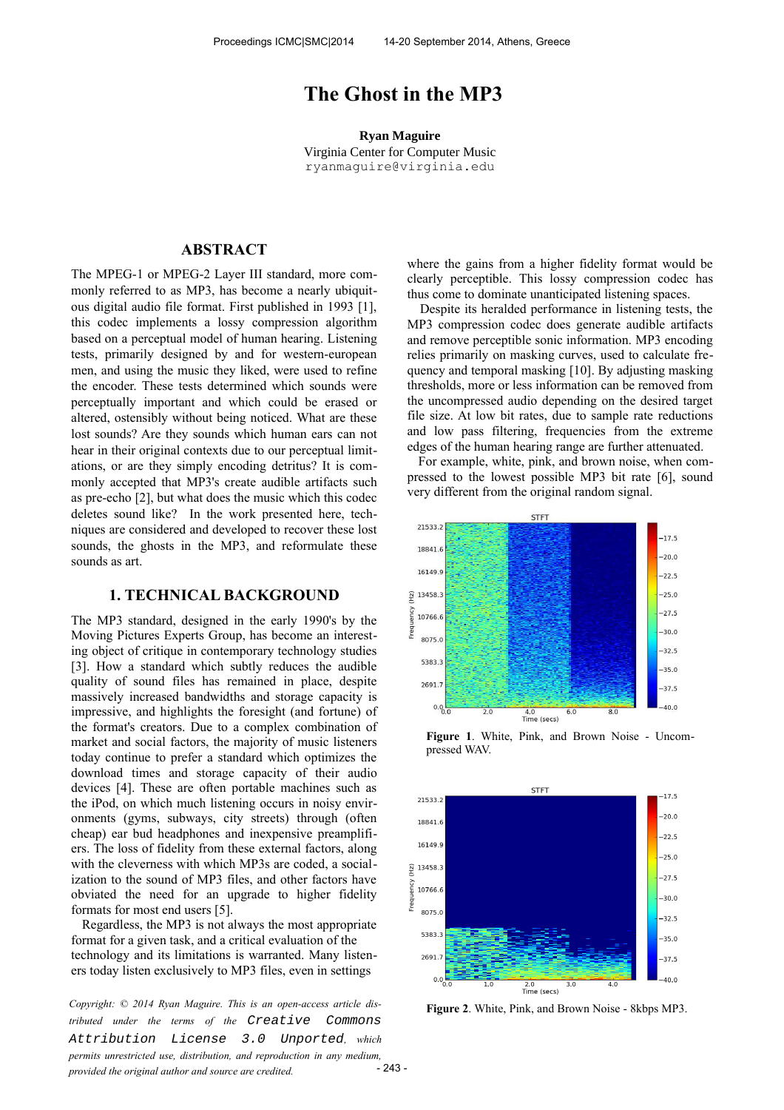# **The Ghost in the MP3**

**Ryan Maguire** Virginia Center for Computer Music ryanmaguire@virginia.edu

# **ABSTRACT**

The MPEG-1 or MPEG-2 Layer III standard, more commonly referred to as MP3, has become a nearly ubiquitous digital audio file format. First published in 1993 [1], this codec implements a lossy compression algorithm based on a perceptual model of human hearing. Listening tests, primarily designed by and for western-european men, and using the music they liked, were used to refine the encoder. These tests determined which sounds were perceptually important and which could be erased or altered, ostensibly without being noticed. What are these lost sounds? Are they sounds which human ears can not hear in their original contexts due to our perceptual limitations, or are they simply encoding detritus? It is commonly accepted that MP3's create audible artifacts such as pre-echo [2], but what does the music which this codec deletes sound like? In the work presented here, techniques are considered and developed to recover these lost sounds, the ghosts in the MP3, and reformulate these sounds as art.

## **1. TECHNICAL BACKGROUND**

The MP3 standard, designed in the early 1990's by the Moving Pictures Experts Group, has become an interesting object of critique in contemporary technology studies [3]. How a standard which subtly reduces the audible quality of sound files has remained in place, despite massively increased bandwidths and storage capacity is impressive, and highlights the foresight (and fortune) of the format's creators. Due to a complex combination of market and social factors, the majority of music listeners today continue to prefer a standard which optimizes the download times and storage capacity of their audio devices [4]. These are often portable machines such as the iPod, on which much listening occurs in noisy environments (gyms, subways, city streets) through (often cheap) ear bud headphones and inexpensive preamplifiers. The loss of fidelity from these external factors, along with the cleverness with which MP3s are coded, a socialization to the sound of MP3 files, and other factors have obviated the need for an upgrade to higher fidelity formats for most end users [5].

 Regardless, the MP3 is not always the most appropriate format for a given task, and a critical evaluation of the technology and its limitations is warranted. Many listeners today listen exclusively to MP3 files, even in settings

**Figure 2.** White, Pink, and Brown Noise - 8kbps MP3.<br> *Copyright:* © 2014 Ryan Maguire. This is an open-access article dis-<br> **Figure 2.** White, Pink, and Brown Noise - 8kbps MP3. *tributed under the terms of the Creative [Attribution License 3.0 Unported](http://creativecommons.org/licenses/by/3.0/), which permits unrestricted use, distribution, and reproduction in any medium, provided the original author and source are credited.*

where the gains from a higher fidelity format would be clearly perceptible. This lossy compression codec has thus come to dominate unanticipated listening spaces.

 Despite its heralded performance in listening tests, the MP3 compression codec does generate audible artifacts and remove perceptible sonic information. MP3 encoding relies primarily on masking curves, used to calculate frequency and temporal masking [10]. By adjusting masking thresholds, more or less information can be removed from the uncompressed audio depending on the desired target file size. At low bit rates, due to sample rate reductions and low pass filtering, frequencies from the extreme edges of the human hearing range are further attenuated.

 For example, white, pink, and brown noise, when compressed to the lowest possible MP3 bit rate [6], sound very different from the original random signal.



**Figure 1**. White, Pink, and Brown Noise - Uncompressed WAV.



 $-243-$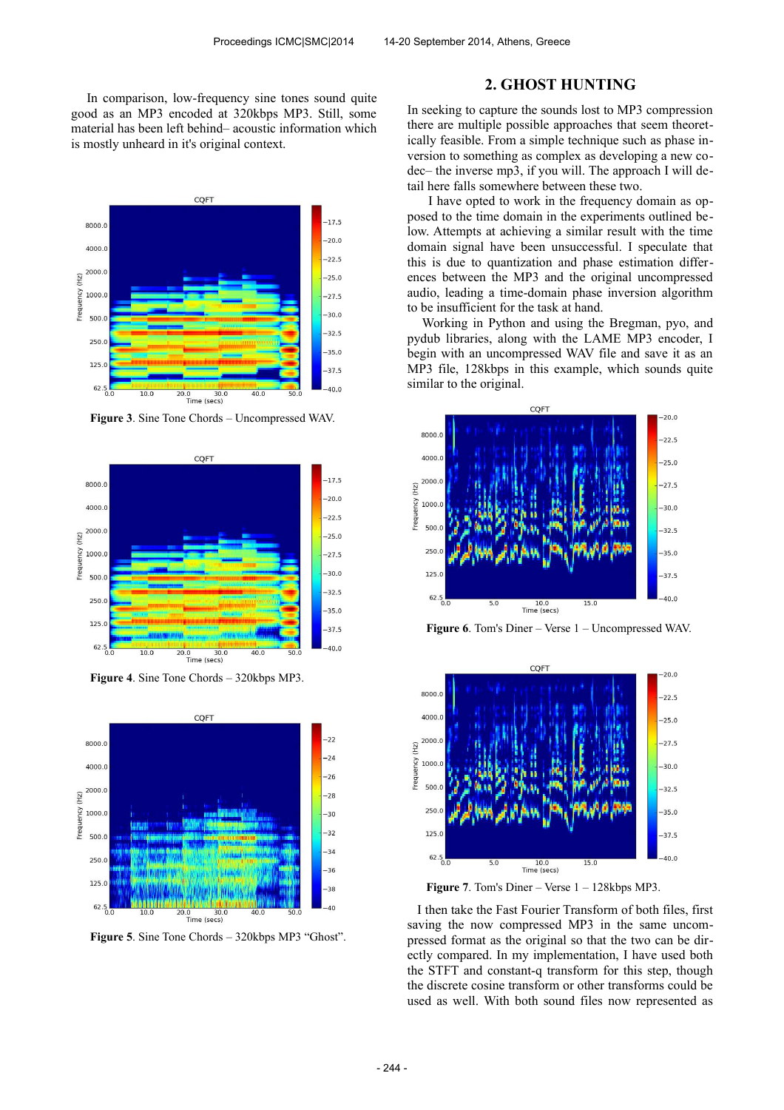In comparison, low-frequency sine tones sound quite good as an MP3 encoded at 320kbps MP3. Still, some material has been left behind– acoustic information which is mostly unheard in it's original context.



**Figure 3**. Sine Tone Chords – Uncompressed WAV.



**Figure 4**. Sine Tone Chords – 320kbps MP3.



**Figure 5**. Sine Tone Chords – 320kbps MP3 "Ghost".

# **2. GHOST HUNTING**

In seeking to capture the sounds lost to MP3 compression there are multiple possible approaches that seem theoretically feasible. From a simple technique such as phase inversion to something as complex as developing a new codec– the inverse mp3, if you will. The approach I will detail here falls somewhere between these two.

 I have opted to work in the frequency domain as opposed to the time domain in the experiments outlined below. Attempts at achieving a similar result with the time domain signal have been unsuccessful. I speculate that this is due to quantization and phase estimation differences between the MP3 and the original uncompressed audio, leading a time-domain phase inversion algorithm to be insufficient for the task at hand.

 Working in Python and using the Bregman, pyo, and pydub libraries, along with the LAME MP3 encoder, I begin with an uncompressed WAV file and save it as an MP3 file, 128kbps in this example, which sounds quite similar to the original.



**Figure 6**. Tom's Diner – Verse 1 – Uncompressed WAV.



Figure 7. Tom's Diner – Verse  $1 - 128$ kbps MP3.

 I then take the Fast Fourier Transform of both files, first saving the now compressed MP3 in the same uncompressed format as the original so that the two can be directly compared. In my implementation, I have used both the STFT and constant-q transform for this step, though the discrete cosine transform or other transforms could be used as well. With both sound files now represented as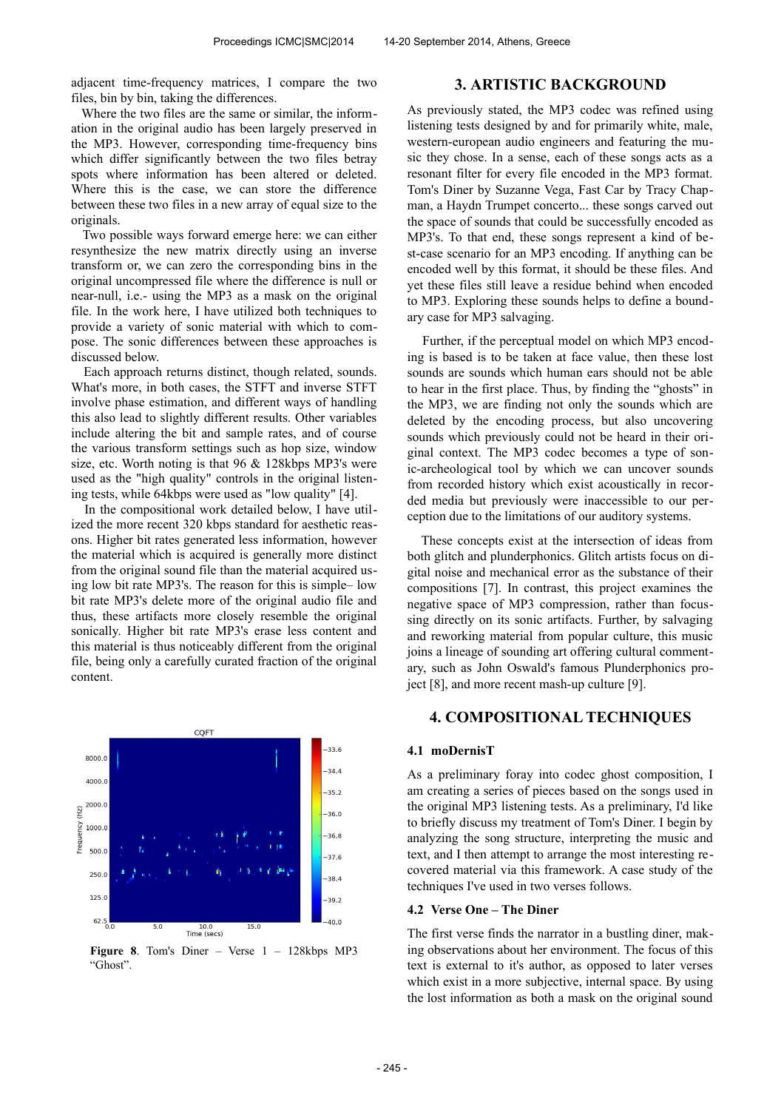adjacent time-frequency matrices, I compare the two files, bin by bin, taking the differences.

 Where the two files are the same or similar, the information in the original audio has been largely preserved in the MP3. However, corresponding time-frequency bins which differ significantly between the two files betray spots where information has been altered or deleted. Where this is the case, we can store the difference between these two files in a new array of equal size to the originals.

 Two possible ways forward emerge here: we can either resynthesize the new matrix directly using an inverse transform or, we can zero the corresponding bins in the original uncompressed file where the difference is null or near-null, i.e.- using the MP3 as a mask on the original file. In the work here, I have utilized both techniques to provide a variety of sonic material with which to compose. The sonic differences between these approaches is discussed below.

 Each approach returns distinct, though related, sounds. What's more, in both cases, the STFT and inverse STFT involve phase estimation, and different ways of handling this also lead to slightly different results. Other variables include altering the bit and sample rates, and of course the various transform settings such as hop size, window size, etc. Worth noting is that 96 & 128kbps MP3's were used as the "high quality" controls in the original listening tests, while 64kbps were used as "low quality" [4].

 In the compositional work detailed below, I have utilized the more recent 320 kbps standard for aesthetic reasons. Higher bit rates generated less information, however the material which is acquired is generally more distinct from the original sound file than the material acquired using low bit rate MP3's. The reason for this is simple– low bit rate MP3's delete more of the original audio file and thus, these artifacts more closely resemble the original sonically. Higher bit rate MP3's erase less content and this material is thus noticeably different from the original file, being only a carefully curated fraction of the original content.



**Figure 8.** Tom's Diner – Verse  $1 - 128k$ bps MP3 "Ghost".

# **3. ARTISTIC BACKGROUND**

As previously stated, the MP3 codec was refined using listening tests designed by and for primarily white, male, western-european audio engineers and featuring the music they chose. In a sense, each of these songs acts as a resonant filter for every file encoded in the MP3 format. Tom's Diner by Suzanne Vega, Fast Car by Tracy Chapman, a Haydn Trumpet concerto... these songs carved out the space of sounds that could be successfully encoded as MP3's. To that end, these songs represent a kind of best-case scenario for an MP3 encoding. If anything can be encoded well by this format, it should be these files. And yet these files still leave a residue behind when encoded to MP3. Exploring these sounds helps to define a boundary case for MP3 salvaging.

 Further, if the perceptual model on which MP3 encoding is based is to be taken at face value, then these lost sounds are sounds which human ears should not be able to hear in the first place. Thus, by finding the "ghosts" in the MP3, we are finding not only the sounds which are deleted by the encoding process, but also uncovering sounds which previously could not be heard in their original context. The MP3 codec becomes a type of sonic-archeological tool by which we can uncover sounds from recorded history which exist acoustically in recorded media but previously were inaccessible to our perception due to the limitations of our auditory systems.

 These concepts exist at the intersection of ideas from both glitch and plunderphonics. Glitch artists focus on digital noise and mechanical error as the substance of their compositions [7]. In contrast, this project examines the negative space of MP3 compression, rather than focussing directly on its sonic artifacts. Further, by salvaging and reworking material from popular culture, this music joins a lineage of sounding art offering cultural commentary, such as John Oswald's famous Plunderphonics project [8], and more recent mash-up culture [9].

# **4. COMPOSITIONAL TECHNIQUES**

#### **4.1 moDernisT**

As a preliminary foray into codec ghost composition, I am creating a series of pieces based on the songs used in the original MP3 listening tests. As a preliminary, I'd like to briefly discuss my treatment of Tom's Diner. I begin by analyzing the song structure, interpreting the music and text, and I then attempt to arrange the most interesting recovered material via this framework. A case study of the techniques I've used in two verses follows.

#### **4.2 Verse One – The Diner**

The first verse finds the narrator in a bustling diner, making observations about her environment. The focus of this text is external to it's author, as opposed to later verses which exist in a more subjective, internal space. By using the lost information as both a mask on the original sound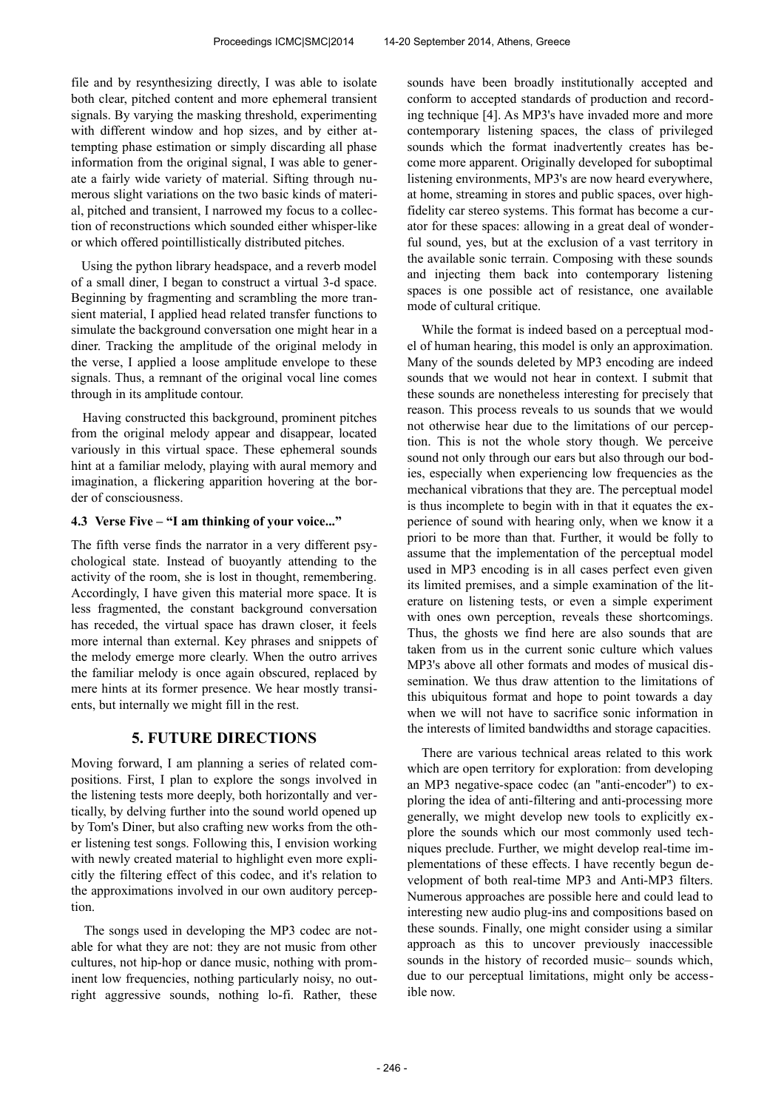file and by resynthesizing directly, I was able to isolate both clear, pitched content and more ephemeral transient signals. By varying the masking threshold, experimenting with different window and hop sizes, and by either attempting phase estimation or simply discarding all phase information from the original signal, I was able to generate a fairly wide variety of material. Sifting through numerous slight variations on the two basic kinds of material, pitched and transient, I narrowed my focus to a collection of reconstructions which sounded either whisper-like or which offered pointillistically distributed pitches.

 Using the python library headspace, and a reverb model of a small diner, I began to construct a virtual 3-d space. Beginning by fragmenting and scrambling the more transient material, I applied head related transfer functions to simulate the background conversation one might hear in a diner. Tracking the amplitude of the original melody in the verse, I applied a loose amplitude envelope to these signals. Thus, a remnant of the original vocal line comes through in its amplitude contour.

 Having constructed this background, prominent pitches from the original melody appear and disappear, located variously in this virtual space. These ephemeral sounds hint at a familiar melody, playing with aural memory and imagination, a flickering apparition hovering at the border of consciousness.

## **4.3 Verse Five – "I am thinking of your voice..."**

The fifth verse finds the narrator in a very different psychological state. Instead of buoyantly attending to the activity of the room, she is lost in thought, remembering. Accordingly, I have given this material more space. It is less fragmented, the constant background conversation has receded, the virtual space has drawn closer, it feels more internal than external. Key phrases and snippets of the melody emerge more clearly. When the outro arrives the familiar melody is once again obscured, replaced by mere hints at its former presence. We hear mostly transients, but internally we might fill in the rest.

## **5. FUTURE DIRECTIONS**

Moving forward, I am planning a series of related compositions. First, I plan to explore the songs involved in the listening tests more deeply, both horizontally and vertically, by delving further into the sound world opened up by Tom's Diner, but also crafting new works from the other listening test songs. Following this, I envision working with newly created material to highlight even more explicitly the filtering effect of this codec, and it's relation to the approximations involved in our own auditory perception.

 The songs used in developing the MP3 codec are notable for what they are not: they are not music from other cultures, not hip-hop or dance music, nothing with prominent low frequencies, nothing particularly noisy, no outright aggressive sounds, nothing lo-fi. Rather, these sounds have been broadly institutionally accepted and conform to accepted standards of production and recording technique [4]. As MP3's have invaded more and more contemporary listening spaces, the class of privileged sounds which the format inadvertently creates has become more apparent. Originally developed for suboptimal listening environments, MP3's are now heard everywhere, at home, streaming in stores and public spaces, over highfidelity car stereo systems. This format has become a curator for these spaces: allowing in a great deal of wonderful sound, yes, but at the exclusion of a vast territory in the available sonic terrain. Composing with these sounds and injecting them back into contemporary listening spaces is one possible act of resistance, one available mode of cultural critique.

 While the format is indeed based on a perceptual model of human hearing, this model is only an approximation. Many of the sounds deleted by MP3 encoding are indeed sounds that we would not hear in context. I submit that these sounds are nonetheless interesting for precisely that reason. This process reveals to us sounds that we would not otherwise hear due to the limitations of our perception. This is not the whole story though. We perceive sound not only through our ears but also through our bodies, especially when experiencing low frequencies as the mechanical vibrations that they are. The perceptual model is thus incomplete to begin with in that it equates the experience of sound with hearing only, when we know it a priori to be more than that. Further, it would be folly to assume that the implementation of the perceptual model used in MP3 encoding is in all cases perfect even given its limited premises, and a simple examination of the literature on listening tests, or even a simple experiment with ones own perception, reveals these shortcomings. Thus, the ghosts we find here are also sounds that are taken from us in the current sonic culture which values MP3's above all other formats and modes of musical dissemination. We thus draw attention to the limitations of this ubiquitous format and hope to point towards a day when we will not have to sacrifice sonic information in the interests of limited bandwidths and storage capacities.

 There are various technical areas related to this work which are open territory for exploration: from developing an MP3 negative-space codec (an "anti-encoder") to exploring the idea of anti-filtering and anti-processing more generally, we might develop new tools to explicitly explore the sounds which our most commonly used techniques preclude. Further, we might develop real-time implementations of these effects. I have recently begun development of both real-time MP3 and Anti-MP3 filters. Numerous approaches are possible here and could lead to interesting new audio plug-ins and compositions based on these sounds. Finally, one might consider using a similar approach as this to uncover previously inaccessible sounds in the history of recorded music– sounds which, due to our perceptual limitations, might only be accessible now.